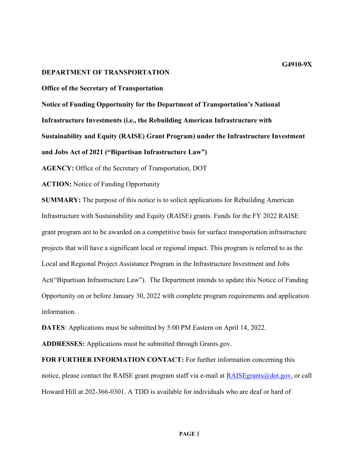#### **DEPARTMENT OF TRANSPORTATION**

#### **Office of the Secretary of Transportation**

**Notice of Funding Opportunity for the Department of Transportation's National Infrastructure Investments (i.e., the Rebuilding American Infrastructure with Sustainability and Equity (RAISE) Grant Program) under the Infrastructure Investment and Jobs Act of 2021 ("Bipartisan Infrastructure Law")**

**AGENCY:** Office of the Secretary of Transportation, DOT

**ACTION:** Notice of Funding Opportunity

**SUMMARY:** The purpose of this notice is to solicit applications for Rebuilding American Infrastructure with Sustainability and Equity (RAISE) grants. Funds for the FY 2022 RAISE grant program are to be awarded on a competitive basis for surface transportation infrastructure projects that will have a significant local or regional impact. This program is referred to as the Local and Regional Project Assistance Program in the Infrastructure Investment and Jobs Act("Bipartisan Infrastructure Law"). The Department intends to update this Notice of Funding Opportunity on or before January 30, 2022 with complete program requirements and application information.

**DATES**: Applications must be submitted by 5:00 PM Eastern on April 14, 2022.

**ADDRESSES:** Applications must be submitted through Grants.gov.

**FOR FURTHER INFORMATION CONTACT:** For further information concerning this notice, please contact the RAISE grant program staff via e-mail at  $R$ AISE grants @dot.gov, or call Howard Hill at 202-366-0301. A TDD is available for individuals who are deaf or hard of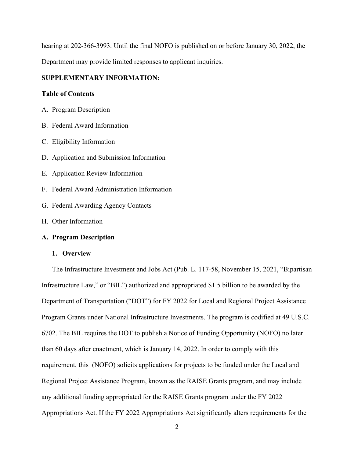hearing at 202-366-3993. Until the final NOFO is published on or before January 30, 2022, the Department may provide limited responses to applicant inquiries.

# **SUPPLEMENTARY INFORMATION:**

# **Table of Contents**

- A. Program Description
- B. Federal Award Information
- C. Eligibility Information
- D. Application and Submission Information
- E. Application Review Information
- F. Federal Award Administration Information
- G. Federal Awarding Agency Contacts
- H. Other Information

# **A. Program Description**

#### **1. Overview**

The Infrastructure Investment and Jobs Act (Pub. L. 117-58, November 15, 2021, "Bipartisan Infrastructure Law," or "BIL") authorized and appropriated \$1.5 billion to be awarded by the Department of Transportation ("DOT") for FY 2022 for Local and Regional Project Assistance Program Grants under National Infrastructure Investments. The program is codified at 49 U.S.C. 6702. The BIL requires the DOT to publish a Notice of Funding Opportunity (NOFO) no later than 60 days after enactment, which is January 14, 2022. In order to comply with this requirement, this (NOFO) solicits applications for projects to be funded under the Local and Regional Project Assistance Program, known as the RAISE Grants program, and may include any additional funding appropriated for the RAISE Grants program under the FY 2022 Appropriations Act. If the FY 2022 Appropriations Act significantly alters requirements for the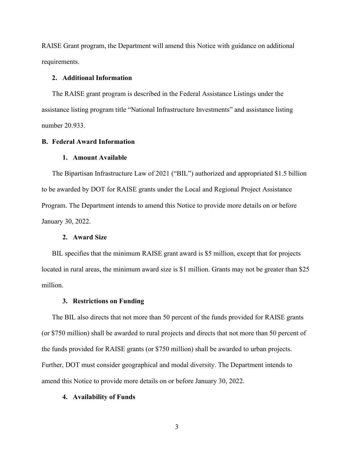RAISE Grant program, the Department will amend this Notice with guidance on additional requirements.

# **2. Additional Information**

The RAISE grant program is described in the Federal Assistance Listings under the assistance listing program title "National Infrastructure Investments" and assistance listing number 20.933.

# **B. Federal Award Information**

## **1. Amount Available**

The Bipartisan Infrastructure Law of 2021 ("BIL") authorized and appropriated \$1.5 billion to be awarded by DOT for RAISE grants under the Local and Regional Project Assistance Program. The Department intends to amend this Notice to provide more details on or before January 30, 2022.

### **2. Award Size**

BIL specifies that the minimum RAISE grant award is \$5 million, except that for projects located in rural areas, the minimum award size is \$1 million. Grants may not be greater than \$25 million.

## **3. Restrictions on Funding**

The BIL also directs that not more than 50 percent of the funds provided for RAISE grants (or \$750 million) shall be awarded to rural projects and directs that not more than 50 percent of the funds provided for RAISE grants (or \$750 million) shall be awarded to urban projects. Further, DOT must consider geographical and modal diversity. The Department intends to amend this Notice to provide more details on or before January 30, 2022.

#### **4. Availability of Funds**

3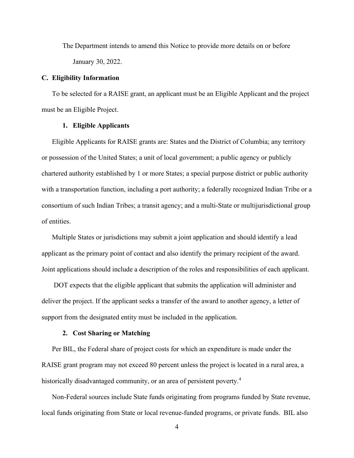The Department intends to amend this Notice to provide more details on or before January 30, 2022.

## **C. Eligibility Information**

To be selected for a RAISE grant, an applicant must be an Eligible Applicant and the project must be an Eligible Project.

# **1. Eligible Applicants**

Eligible Applicants for RAISE grants are: States and the District of Columbia; any territory or possession of the United States; a unit of local government; a public agency or publicly chartered authority established by 1 or more States; a special purpose district or public authority with a transportation function, including a port authority; a federally recognized Indian Tribe or a consortium of such Indian Tribes; a transit agency; and a multi-State or multijurisdictional group of entities.

Multiple States or jurisdictions may submit a joint application and should identify a lead applicant as the primary point of contact and also identify the primary recipient of the award. Joint applications should include a description of the roles and responsibilities of each applicant.

DOT expects that the eligible applicant that submits the application will administer and deliver the project. If the applicant seeks a transfer of the award to another agency, a letter of support from the designated entity must be included in the application.

#### **2. Cost Sharing or Matching**

Per BIL, the Federal share of project costs for which an expenditure is made under the RAISE grant program may not exceed 80 percent unless the project is located in a rural area, a historically disadvantaged community, or an area of persistent poverty.<sup>4</sup>

Non-Federal sources include State funds originating from programs funded by State revenue, local funds originating from State or local revenue-funded programs, or private funds. BIL also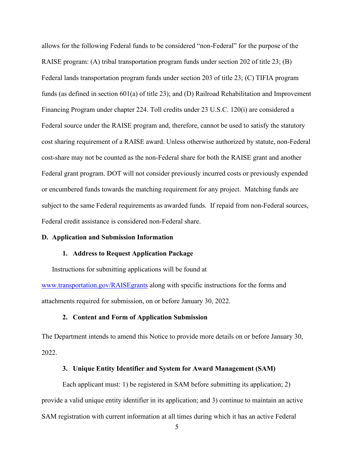allows for the following Federal funds to be considered "non-Federal" for the purpose of the RAISE program: (A) tribal transportation program funds under section 202 of title 23; (B) Federal lands transportation program funds under section 203 of title 23; (C) TIFIA program funds (as defined in section 601(a) of title 23); and (D) Railroad Rehabilitation and Improvement Financing Program under chapter 224. Toll credits under 23 U.S.C. 120(i) are considered a Federal source under the RAISE program and, therefore, cannot be used to satisfy the statutory cost sharing requirement of a RAISE award. Unless otherwise authorized by statute, non-Federal cost-share may not be counted as the non-Federal share for both the RAISE grant and another Federal grant program. DOT will not consider previously incurred costs or previously expended or encumbered funds towards the matching requirement for any project. Matching funds are subject to the same Federal requirements as awarded funds. If repaid from non-Federal sources, Federal credit assistance is considered non-Federal share.

## **D. Application and Submission Information**

#### **1. Address to Request Application Package**

Instructions for submitting applications will be found at

[www.transportation.gov/RAISEgrants](http://www.transportation.gov/BUILDgrants) along with specific instructions for the forms and attachments required for submission, on or before January 30, 2022.

### **2. Content and Form of Application Submission**

The Department intends to amend this Notice to provide more details on or before January 30, 2022.

# **3. Unique Entity Identifier and System for Award Management (SAM)**

Each applicant must: 1) be registered in SAM before submitting its application; 2) provide a valid unique entity identifier in its application; and 3) continue to maintain an active SAM registration with current information at all times during which it has an active Federal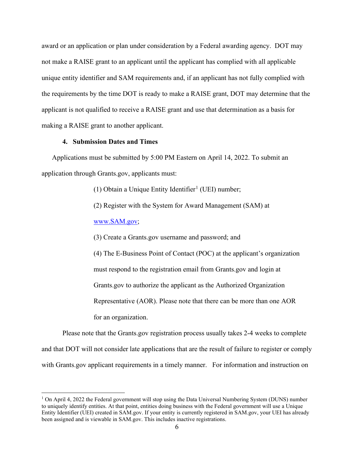award or an application or plan under consideration by a Federal awarding agency. DOT may not make a RAISE grant to an applicant until the applicant has complied with all applicable unique entity identifier and SAM requirements and, if an applicant has not fully complied with the requirements by the time DOT is ready to make a RAISE grant, DOT may determine that the applicant is not qualified to receive a RAISE grant and use that determination as a basis for making a RAISE grant to another applicant.

### **4. Submission Dates and Times**

Applications must be submitted by 5:00 PM Eastern on April 14, 2022. To submit an application through Grants.gov, applicants must:

([1](#page-5-0)) Obtain a Unique Entity Identifier<sup>1</sup> (UEI) number;

(2) Register with the System for Award Management (SAM) at

[www.SAM.gov;](http://www.sam.gov/)

(3) Create a Grants.gov username and password; and

(4) The E-Business Point of Contact (POC) at the applicant's organization must respond to the registration email from Grants.gov and login at Grants.gov to authorize the applicant as the Authorized Organization Representative (AOR). Please note that there can be more than one AOR for an organization.

Please note that the Grants.gov registration process usually takes 2-4 weeks to complete and that DOT will not consider late applications that are the result of failure to register or comply with Grants.gov applicant requirements in a timely manner. For information and instruction on

<span id="page-5-0"></span><sup>&</sup>lt;sup>1</sup> On April 4, 2022 the Federal government will stop using the Data Universal Numbering System (DUNS) number to uniquely identify entities. At that point, entities doing business with the Federal government will use a Unique Entity Identifier (UEI) created in SAM.gov. If your entity is currently registered in SAM.gov, your UEI has already been assigned and is viewable in SAM.gov. This includes inactive registrations.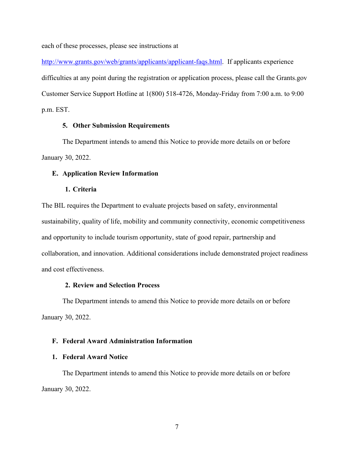each of these processes, please see instructions at

[http://www.grants.gov/web/grants/applicants/applicant-faqs.html.](http://www.grants.gov/web/grants/applicants/applicant-faqs.html) If applicants experience difficulties at any point during the registration or application process, please call the Grants.gov Customer Service Support Hotline at 1(800) 518-4726, Monday-Friday from 7:00 a.m. to 9:00 p.m. EST.

# **5. Other Submission Requirements**

The Department intends to amend this Notice to provide more details on or before January 30, 2022.

### **E. Application Review Information**

### **1. Criteria**

The BIL requires the Department to evaluate projects based on safety, environmental sustainability, quality of life, mobility and community connectivity, economic competitiveness and opportunity to include tourism opportunity, state of good repair, partnership and collaboration, and innovation. Additional considerations include demonstrated project readiness and cost effectiveness.

## **2. Review and Selection Process**

The Department intends to amend this Notice to provide more details on or before January 30, 2022.

# **F. Federal Award Administration Information**

# **1. Federal Award Notice**

The Department intends to amend this Notice to provide more details on or before January 30, 2022.